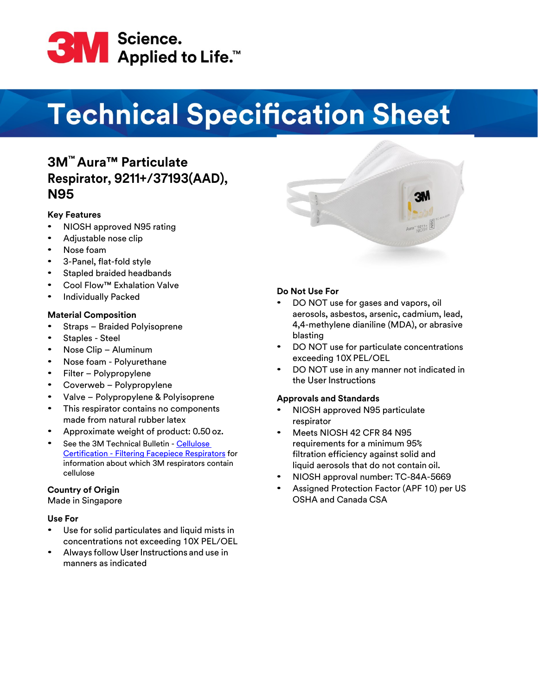

# **Technical Specification Sheet**

## **3M™ Aura™ Particulate Respirator, 9211+/37193(AAD), N95**

#### **Key Features**

- NIOSH approved N95 rating
- Adjustable nose clip
- Nose foam
- 3-Panel, flat-fold style
- Stapled braided headbands
- Cool Flow™ Exhalation Valve
- Individually Packed

#### **Material Composition**

- Straps Braided Polyisoprene
- Staples Steel
- Nose Clip Aluminum
- Nose foam Polyurethane
- Filter Polypropylene
- Coverweb Polypropylene
- Valve Polypropylene & Polyisoprene
- This respirator contains no components made from natural rubber latex
- Approximate weight of product: 0.50 oz.
- See the 3M Technical Bulletin [Cellulose](https://multimedia.3m.com/mws/media/1824613O/cellulose-certification-filtering-facepiece-respirators.pdf) Certification - [Filtering Facepiece Respirators](https://multimedia.3m.com/mws/media/1824613O/cellulose-certification-filtering-facepiece-respirators.pdf) for information about which 3M respirators contain cellulose

#### **Country of Origin**

Made in Singapore

#### **Use For**

- Use for solid particulates and liquid mists in concentrations not exceeding 10X PEL/OEL
- Always follow User Instructions and use in manners as indicated

#### **Do Not Use For**

- DO NOT use for gases and vapors, oil aerosols, asbestos, arsenic, cadmium, lead, 4,4-methylene dianiline (MDA), or abrasive blasting
- DO NOT use for particulate concentrations exceeding 10X PEL/OEL
- DO NOT use in any manner not indicated in the User Instructions

#### **Approvals and Standards**

- NIOSH approved N95 particulate respirator
- Meets NIOSH 42 CFR 84 N95 requirements for a minimum 95% filtration efficiency against solid and liquid aerosols that do not contain oil.
- NIOSH approval number: TC-84A-5669
- Assigned Protection Factor (APF 10) per US OSHA and Canada CSA